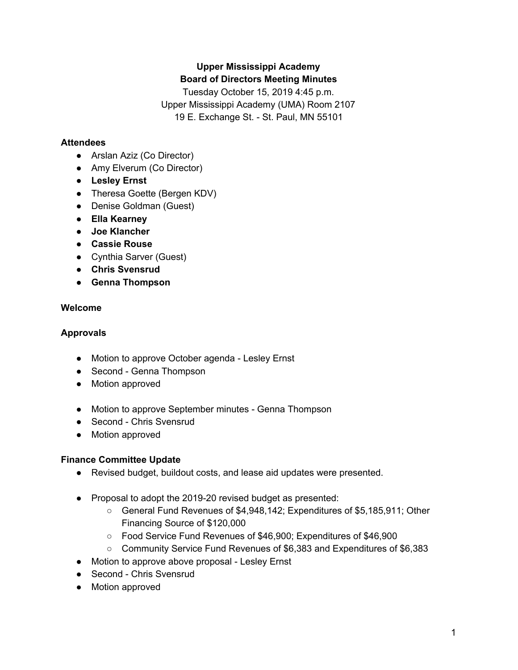# **Upper Mississippi Academy Board of Directors Meeting Minutes**

Tuesday October 15, 2019 4:45 p.m. Upper Mississippi Academy (UMA) Room 2107 19 E. Exchange St. - St. Paul, MN 55101

### **Attendees**

- Arslan Aziz (Co Director)
- Amy Elverum (Co Director)
- **● Lesley Ernst**
- Theresa Goette (Bergen KDV)
- Denise Goldman (Guest)
- **● Ella Kearney**
- **● Joe Klancher**
- **● Cassie Rouse**
- Cynthia Sarver (Guest)
- **● Chris Svensrud**
- **● Genna Thompson**

# **Welcome**

# **Approvals**

- Motion to approve October agenda Lesley Ernst
- Second Genna Thompson
- Motion approved
- Motion to approve September minutes Genna Thompson
- Second Chris Svensrud
- Motion approved

## **Finance Committee Update**

- Revised budget, buildout costs, and lease aid updates were presented.
- Proposal to adopt the 2019-20 revised budget as presented:
	- General Fund Revenues of \$4,948,142; Expenditures of \$5,185,911; Other Financing Source of \$120,000
	- Food Service Fund Revenues of \$46,900; Expenditures of \$46,900
	- Community Service Fund Revenues of \$6,383 and Expenditures of \$6,383
- Motion to approve above proposal Lesley Ernst
- Second Chris Svensrud
- Motion approved